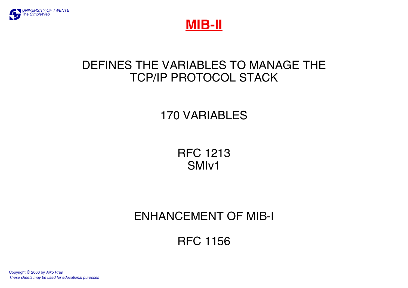



### DEFINES THE VARIABLES TO MANAGE THETCP/IP PROTOCOL STACK

170 VARIABLES

RFC 1213SMIv1

### ENHANCEMENT OF MIB-I

RFC 1156

[Copyright](http://www.simpleweb.org/tutorials/copyright.html) © 2000 by *[Aiko Pras](http://wwwhome.cs.utwente.nl/~pras) These sheets may be used for educational purposes*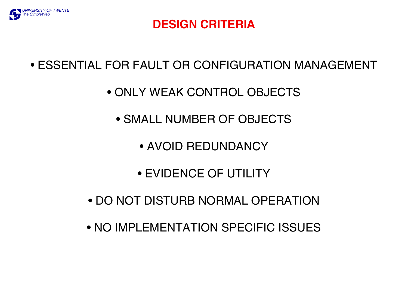

### **DESIGN CRITERIA**

• ESSENTIAL FOR FAULT OR CONFIGURATION MANAGEMENT

- ONLY WEAK CONTROL OBJECTS
	- SMALL NUMBER OF OBJECTS
		- AVOID REDUNDANCY
		- EVIDENCE OF UTILITY
- DO NOT DISTURB NORMAL OPERATION
- NO IMPLEMENTATION SPECIFIC ISSUES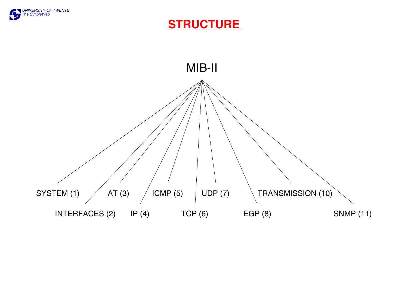

#### **STRUCTURE**

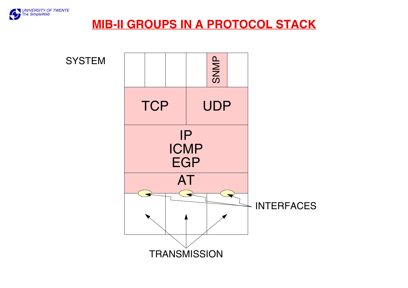

#### **MIB-II GROUPS IN A PROTOCOL STACK**

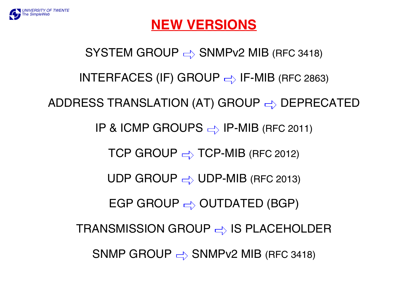SYSTEM GROUP  $\Rightarrow$  SNMPv2 MIB (RFC 3418) INTERFACES (IF) GROUP  $\Rightarrow$  IF-MIB (RFC 2863) ADDRESS TRANSLATION (AT) GROUP  $\Rightarrow$  DEPRECATED IP & ICMP GROUPS  $\Rightarrow$  IP-MIB (RFC 2011) TCP GROUP  $\Rightarrow$  TCP-MIB (RFC 2012) UDP GROUP  $\Rightarrow$  UDP-MIB (RFC 2013) EGP GROUP  $\Rightarrow$  OUTDATED (BGP) TRANSMISSION GROUP  $\Rightarrow$  IS PLACEHOLDER SNMP GROUP  $\Rightarrow$  SNMPv2 MIB (RFC 3418)



# **NEW VERSIONS**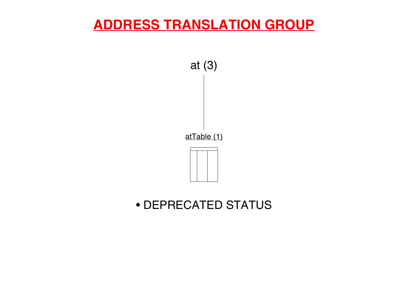# **ADDRESS TRANSLATION GROUP**



### • DEPRECATED STATUS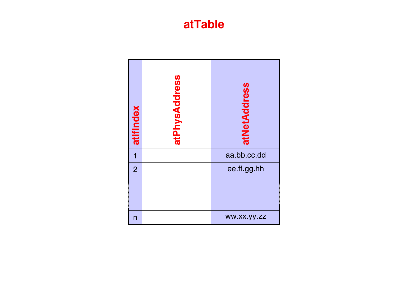#### **atTable**

| atifindex      | atPhysAddress | atNetAddress |
|----------------|---------------|--------------|
|                |               | aa.bb.cc.dd  |
| $\overline{2}$ |               | ee.ff.gg.hh  |
|                |               |              |
| n              |               | WW.XX.yy.zz  |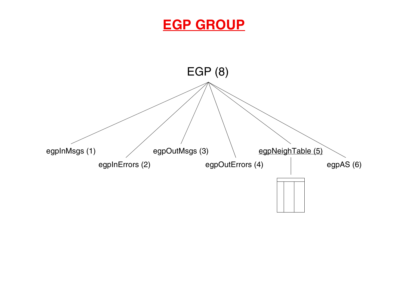## **EGP GROUP**